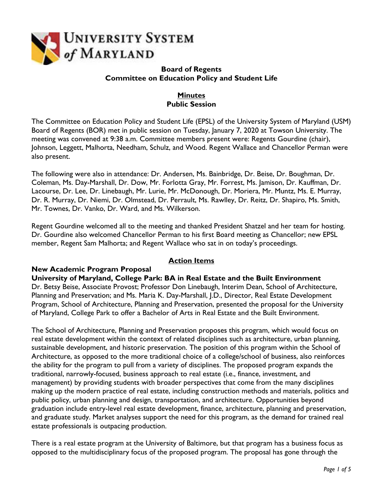

### **Board of Regents Committee on Education Policy and Student Life**

# **Minutes Public Session**

The Committee on Education Policy and Student Life (EPSL) of the University System of Maryland (USM) Board of Regents (BOR) met in public session on Tuesday, January 7, 2020 at Towson University. The meeting was convened at 9:38 a.m. Committee members present were: Regents Gourdine (chair), Johnson, Leggett, Malhorta, Needham, Schulz, and Wood. Regent Wallace and Chancellor Perman were also present.

The following were also in attendance: Dr. Andersen, Ms. Bainbridge, Dr. Beise, Dr. Boughman, Dr. Coleman, Ms. Day-Marshall, Dr. Dow, Mr. Forlotta Gray, Mr. Forrest, Ms. Jamison, Dr. Kauffman, Dr. Lacourse, Dr. Lee, Dr. Linebaugh, Mr. Lurie, Mr. McDonough, Dr. Moriera, Mr. Muntz, Ms. E. Murray, Dr. R. Murray, Dr. Niemi, Dr. Olmstead, Dr. Perrault, Ms. Rawlley, Dr. Reitz, Dr. Shapiro, Ms. Smith, Mr. Townes, Dr. Vanko, Dr. Ward, and Ms. Wilkerson.

Regent Gourdine welcomed all to the meeting and thanked President Shatzel and her team for hosting. Dr. Gourdine also welcomed Chancellor Perman to his first Board meeting as Chancellor; new EPSL member, Regent Sam Malhorta; and Regent Wallace who sat in on today's proceedings.

# **Action Items**

### **New Academic Program Proposal**

**University of Maryland, College Park: BA in Real Estate and the Built Environment** Dr. Betsy Beise, Associate Provost; Professor Don Linebaugh, Interim Dean, School of Architecture, Planning and Preservation; and Ms. Maria K. Day-Marshall, J.D., Director, Real Estate Development Program, School of Architecture, Planning and Preservation, presented the proposal for the University of Maryland, College Park to offer a Bachelor of Arts in Real Estate and the Built Environment.

The School of Architecture, Planning and Preservation proposes this program, which would focus on real estate development within the context of related disciplines such as architecture, urban planning, sustainable development, and historic preservation. The position of this program within the School of Architecture, as opposed to the more traditional choice of a college/school of business, also reinforces the ability for the program to pull from a variety of disciplines. The proposed program expands the traditional, narrowly-focused, business approach to real estate (i.e., finance, investment, and management) by providing students with broader perspectives that come from the many disciplines making up the modern practice of real estate, including construction methods and materials, politics and public policy, urban planning and design, transportation, and architecture. Opportunities beyond graduation include entry-level real estate development, finance, architecture, planning and preservation, and graduate study. Market analyses support the need for this program, as the demand for trained real estate professionals is outpacing production.

There is a real estate program at the University of Baltimore, but that program has a business focus as opposed to the multidisciplinary focus of the proposed program. The proposal has gone through the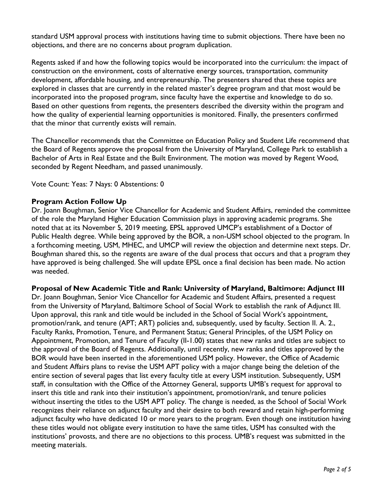standard USM approval process with institutions having time to submit objections. There have been no objections, and there are no concerns about program duplication.

Regents asked if and how the following topics would be incorporated into the curriculum: the impact of construction on the environment, costs of alternative energy sources, transportation, community development, affordable housing, and entrepreneurship. The presenters shared that these topics are explored in classes that are currently in the related master's degree program and that most would be incorporated into the proposed program, since faculty have the expertise and knowledge to do so. Based on other questions from regents, the presenters described the diversity within the program and how the quality of experiential learning opportunities is monitored. Finally, the presenters confirmed that the minor that currently exists will remain.

The Chancellor recommends that the Committee on Education Policy and Student Life recommend that the Board of Regents approve the proposal from the University of Maryland, College Park to establish a Bachelor of Arts in Real Estate and the Built Environment. The motion was moved by Regent Wood, seconded by Regent Needham, and passed unanimously.

Vote Count: Yeas: 7 Nays: 0 Abstentions: 0

### **Program Action Follow Up**

Dr. Joann Boughman, Senior Vice Chancellor for Academic and Student Affairs, reminded the committee of the role the Maryland Higher Education Commission plays in approving academic programs. She noted that at its November 5, 2019 meeting, EPSL approved UMCP's establishment of a Doctor of Public Health degree. While being approved by the BOR, a non-USM school objected to the program. In a forthcoming meeting, USM, MHEC, and UMCP will review the objection and determine next steps. Dr. Boughman shared this, so the regents are aware of the dual process that occurs and that a program they have approved is being challenged. She will update EPSL once a final decision has been made. No action was needed.

**Proposal of New Academic Title and Rank: University of Maryland, Baltimore: Adjunct III** Dr. Joann Boughman, Senior Vice Chancellor for Academic and Student Affairs, presented a request from the University of Maryland, Baltimore School of Social Work to establish the rank of Adjunct III. Upon approval, this rank and title would be included in the School of Social Work's appointment, promotion/rank, and tenure (APT; ART) policies and, subsequently, used by faculty. Section II. A. 2., Faculty Ranks, Promotion, Tenure, and Permanent Status; General Principles, of the USM Policy on Appointment, Promotion, and Tenure of Faculty (II-1.00) states that new ranks and titles are subject to the approval of the Board of Regents. Additionally, until recently, new ranks and titles approved by the BOR would have been inserted in the aforementioned USM policy. However, the Office of Academic and Student Affairs plans to revise the USM APT policy with a major change being the deletion of the entire section of several pages that list every faculty title at every USM institution. Subsequently, USM staff, in consultation with the Office of the Attorney General, supports UMB's request for approval to insert this title and rank into their institution's appointment, promotion/rank, and tenure policies without inserting the titles to the USM APT policy. The change is needed, as the School of Social Work recognizes their reliance on adjunct faculty and their desire to both reward and retain high-performing adjunct faculty who have dedicated 10 or more years to the program. Even though one institution having these titles would not obligate every institution to have the same titles, USM has consulted with the institutions' provosts, and there are no objections to this process. UMB's request was submitted in the meeting materials.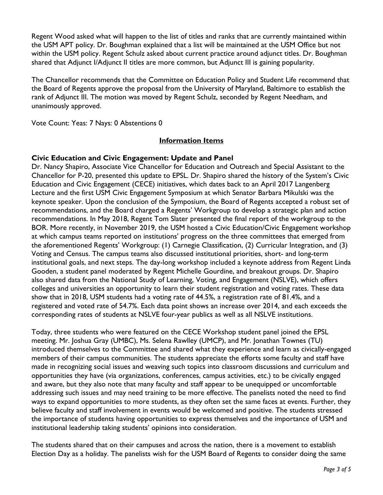Regent Wood asked what will happen to the list of titles and ranks that are currently maintained within the USM APT policy. Dr. Boughman explained that a list will be maintained at the USM Office but not within the USM policy. Regent Schulz asked about current practice around adjunct titles. Dr. Boughman shared that Adjunct I/Adjunct II titles are more common, but Adjunct III is gaining popularity.

The Chancellor recommends that the Committee on Education Policy and Student Life recommend that the Board of Regents approve the proposal from the University of Maryland, Baltimore to establish the rank of Adjunct III. The motion was moved by Regent Schulz, seconded by Regent Needham, and unanimously approved.

Vote Count: Yeas: 7 Nays: 0 Abstentions 0

### **Information Items**

### **Civic Education and Civic Engagement: Update and Panel**

Dr. Nancy Shapiro, Associate Vice Chancellor for Education and Outreach and Special Assistant to the Chancellor for P-20, presented this update to EPSL. Dr. Shapiro shared the history of the System's Civic Education and Civic Engagement (CECE) initiatives, which dates back to an April 2017 Langenberg Lecture and the first USM Civic Engagement Symposium at which Senator Barbara Mikulski was the keynote speaker. Upon the conclusion of the Symposium, the Board of Regents accepted a robust set of recommendations, and the Board charged a Regents' Workgroup to develop a strategic plan and action recommendations. In May 2018, Regent Tom Slater presented the final report of the workgroup to the BOR. More recently, in November 2019, the USM hosted a Civic Education/Civic Engagement workshop at which campus teams reported on institutions' progress on the three committees that emerged from the aforementioned Regents' Workgroup: (1) Carnegie Classification, (2) Curricular Integration, and (3) Voting and Census. The campus teams also discussed institutional priorities, short- and long-term institutional goals, and next steps. The day-long workshop included a keynote address from Regent Linda Gooden, a student panel moderated by Regent Michelle Gourdine, and breakout groups. Dr. Shapiro also shared data from the National Study of Learning, Voting, and Engagement (NSLVE), which offers colleges and universities an opportunity to learn their student registration and voting rates. These data show that in 2018, USM students had a voting rate of 44.5%, a registration rate of 81.4%, and a registered and voted rate of 54.7%. Each data point shows an increase over 2014, and each exceeds the corresponding rates of students at NSLVE four-year publics as well as all NSLVE institutions.

Today, three students who were featured on the CECE Workshop student panel joined the EPSL meeting. Mr. Joshua Gray (UMBC), Ms. Selena Rawlley (UMCP), and Mr. Jonathan Townes (TU) introduced themselves to the Committee and shared what they experience and learn as civically-engaged members of their campus communities. The students appreciate the efforts some faculty and staff have made in recognizing social issues and weaving such topics into classroom discussions and curriculum and opportunities they have (via organizations, conferences, campus activities, etc.) to be civically engaged and aware, but they also note that many faculty and staff appear to be unequipped or uncomfortable addressing such issues and may need training to be more effective. The panelists noted the need to find ways to expand opportunities to more students, as they often set the same faces at events. Further, they believe faculty and staff involvement in events would be welcomed and positive. The students stressed the importance of students having opportunities to express themselves and the importance of USM and institutional leadership taking students' opinions into consideration.

The students shared that on their campuses and across the nation, there is a movement to establish Election Day as a holiday. The panelists wish for the USM Board of Regents to consider doing the same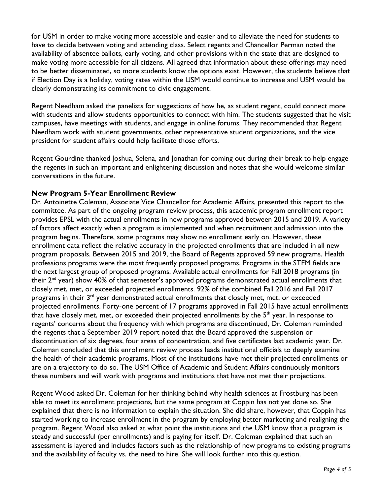for USM in order to make voting more accessible and easier and to alleviate the need for students to have to decide between voting and attending class. Select regents and Chancellor Perman noted the availability of absentee ballots, early voting, and other provisions within the state that are designed to make voting more accessible for all citizens. All agreed that information about these offerings may need to be better disseminated, so more students know the options exist. However, the students believe that if Election Day is a holiday, voting rates within the USM would continue to increase and USM would be clearly demonstrating its commitment to civic engagement.

Regent Needham asked the panelists for suggestions of how he, as student regent, could connect more with students and allow students opportunities to connect with him. The students suggested that he visit campuses, have meetings with students, and engage in online forums. They recommended that Regent Needham work with student governments, other representative student organizations, and the vice president for student affairs could help facilitate those efforts.

Regent Gourdine thanked Joshua, Selena, and Jonathan for coming out during their break to help engage the regents in such an important and enlightening discussion and notes that she would welcome similar conversations in the future.

## **New Program 5-Year Enrollment Review**

Dr. Antoinette Coleman, Associate Vice Chancellor for Academic Affairs, presented this report to the committee. As part of the ongoing program review process, this academic program enrollment report provides EPSL with the actual enrollments in new programs approved between 2015 and 2019. A variety of factors affect exactly when a program is implemented and when recruitment and admission into the program begins. Therefore, some programs may show no enrollment early on. However, these enrollment data reflect the relative accuracy in the projected enrollments that are included in all new program proposals. Between 2015 and 2019, the Board of Regents approved 59 new programs. Health professions programs were the most frequently proposed programs. Programs in the STEM fields are the next largest group of proposed programs. Available actual enrollments for Fall 2018 programs (in their  $2^{nd}$  year) show 40% of that semester's approved programs demonstrated actual enrollments that closely met, met, or exceeded projected enrollments. 92% of the combined Fall 2016 and Fall 2017 programs in their 3<sup>rd</sup> year demonstrated actual enrollments that closely met, met, or exceeded projected enrollments. Forty-one percent of 17 programs approved in Fall 2015 have actual enrollments that have closely met, met, or exceeded their projected enrollments by the  $5<sup>th</sup>$  year. In response to regents' concerns about the frequency with which programs are discontinued, Dr. Coleman reminded the regents that a September 2019 report noted that the Board approved the suspension or discontinuation of six degrees, four areas of concentration, and five certificates last academic year. Dr. Coleman concluded that this enrollment review process leads institutional officials to deeply examine the health of their academic programs. Most of the institutions have met their projected enrollments or are on a trajectory to do so. The USM Office of Academic and Student Affairs continuously monitors these numbers and will work with programs and institutions that have not met their projections.

Regent Wood asked Dr. Coleman for her thinking behind why health sciences at Frostburg has been able to meet its enrollment projections, but the same program at Coppin has not yet done so. She explained that there is no information to explain the situation. She did share, however, that Coppin has started working to increase enrollment in the program by employing better marketing and realigning the program. Regent Wood also asked at what point the institutions and the USM know that a program is steady and successful (per enrollments) and is paying for itself. Dr. Coleman explained that such an assessment is layered and includes factors such as the relationship of new programs to existing programs and the availability of faculty vs. the need to hire. She will look further into this question.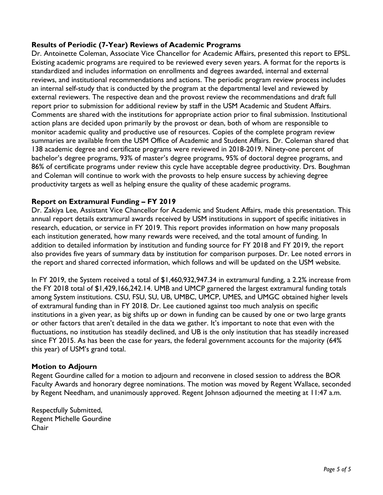### **Results of Periodic (7-Year) Reviews of Academic Programs**

Dr. Antoinette Coleman, Associate Vice Chancellor for Academic Affairs, presented this report to EPSL. Existing academic programs are required to be reviewed every seven years. A format for the reports is standardized and includes information on enrollments and degrees awarded, internal and external reviews, and institutional recommendations and actions. The periodic program review process includes an internal self-study that is conducted by the program at the departmental level and reviewed by external reviewers. The respective dean and the provost review the recommendations and draft full report prior to submission for additional review by staff in the USM Academic and Student Affairs. Comments are shared with the institutions for appropriate action prior to final submission. Institutional action plans are decided upon primarily by the provost or dean, both of whom are responsible to monitor academic quality and productive use of resources. Copies of the complete program review summaries are available from the USM Office of Academic and Student Affairs. Dr. Coleman shared that 138 academic degree and certificate programs were reviewed in 2018-2019. Ninety-one percent of bachelor's degree programs, 93% of master's degree programs, 95% of doctoral degree programs, and 86% of certificate programs under review this cycle have acceptable degree productivity. Drs. Boughman and Coleman will continue to work with the provosts to help ensure success by achieving degree productivity targets as well as helping ensure the quality of these academic programs.

### **Report on Extramural Funding – FY 2019**

Dr. Zakiya Lee, Assistant Vice Chancellor for Academic and Student Affairs, made this presentation. This annual report details extramural awards received by USM institutions in support of specific initiatives in research, education, or service in FY 2019. This report provides information on how many proposals each institution generated, how many rewards were received, and the total amount of funding. In addition to detailed information by institution and funding source for FY 2018 and FY 2019, the report also provides five years of summary data by institution for comparison purposes. Dr. Lee noted errors in the report and shared corrected information, which follows and will be updated on the USM website.

In FY 2019, the System received a total of \$1,460,932,947.34 in extramural funding, a 2.2% increase from the FY 2018 total of \$1,429,166,242.14. UMB and UMCP garnered the largest extramural funding totals among System institutions. CSU, FSU, SU, UB, UMBC, UMCP, UMES, and UMGC obtained higher levels of extramural funding than in FY 2018. Dr. Lee cautioned against too much analysis on specific institutions in a given year, as big shifts up or down in funding can be caused by one or two large grants or other factors that aren't detailed in the data we gather. It's important to note that even with the fluctuations, no institution has steadily declined, and UB is the only institution that has steadily increased since FY 2015. As has been the case for years, the federal government accounts for the majority (64% this year) of USM's grand total.

### **Motion to Adjourn**

Regent Gourdine called for a motion to adjourn and reconvene in closed session to address the BOR Faculty Awards and honorary degree nominations. The motion was moved by Regent Wallace, seconded by Regent Needham, and unanimously approved. Regent Johnson adjourned the meeting at 11:47 a.m.

Respectfully Submitted, Regent Michelle Gourdine Chair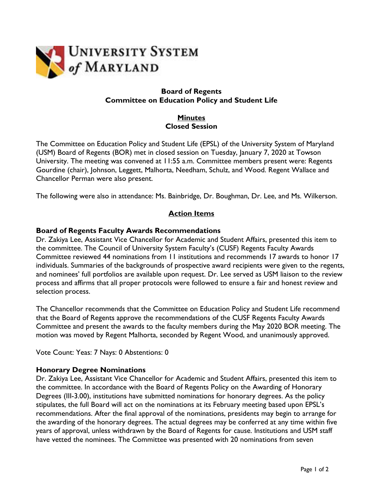

#### **Board of Regents Committee on Education Policy and Student Life**

### **Minutes Closed Session**

The Committee on Education Policy and Student Life (EPSL) of the University System of Maryland (USM) Board of Regents (BOR) met in closed session on Tuesday, January 7, 2020 at Towson University. The meeting was convened at 11:55 a.m. Committee members present were: Regents Gourdine (chair), Johnson, Leggett, Malhorta, Needham, Schulz, and Wood. Regent Wallace and Chancellor Perman were also present.

The following were also in attendance: Ms. Bainbridge, Dr. Boughman, Dr. Lee, and Ms. Wilkerson.

## **Action Items**

### **Board of Regents Faculty Awards Recommendations**

Dr. Zakiya Lee, Assistant Vice Chancellor for Academic and Student Affairs, presented this item to the committee. The Council of University System Faculty's (CUSF) Regents Faculty Awards Committee reviewed 44 nominations from 11 institutions and recommends 17 awards to honor 17 individuals. Summaries of the backgrounds of prospective award recipients were given to the regents, and nominees' full portfolios are available upon request. Dr. Lee served as USM liaison to the review process and affirms that all proper protocols were followed to ensure a fair and honest review and selection process.

The Chancellor recommends that the Committee on Education Policy and Student Life recommend that the Board of Regents approve the recommendations of the CUSF Regents Faculty Awards Committee and present the awards to the faculty members during the May 2020 BOR meeting. The motion was moved by Regent Malhorta, seconded by Regent Wood, and unanimously approved.

Vote Count: Yeas: 7 Nays: 0 Abstentions: 0

#### **Honorary Degree Nominations**

Dr. Zakiya Lee, Assistant Vice Chancellor for Academic and Student Affairs, presented this item to the committee. In accordance with the Board of Regents Policy on the Awarding of Honorary Degrees (III-3.00), institutions have submitted nominations for honorary degrees. As the policy stipulates, the full Board will act on the nominations at its February meeting based upon EPSL's recommendations. After the final approval of the nominations, presidents may begin to arrange for the awarding of the honorary degrees. The actual degrees may be conferred at any time within five years of approval, unless withdrawn by the Board of Regents for cause. Institutions and USM staff have vetted the nominees. The Committee was presented with 20 nominations from seven